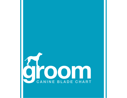# **GROOM** CANINE BLADE CHART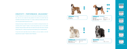AFGHAN HOUND

BEARDED COLLIE Matted coat<br>Puppy trim @ 2"

7F<br>30 & 1 1/4" UC\*

# AIREDALE TERRIER

Body and tail 7F, 5F, 4F, 3F<br>Head, neck 7F Head, neck 7F<br>Legs, chest, beard, eye brows 30 with 3/4" or 1" UC\* Legs, chest, beard, eye brows 30 with 3/4<br>Ears, cheeks, throat 50 7F or 10 Ears, cheeks, throat



# Matted coat 7F<br>On saddle only 7F On saddle only



Face, ears and throat



AMERICAN COCKER SPANIEL Body, sides and back only  $\frac{7F}{7F}$ , 5F or 4F<br>Sides of neck  $\frac{7F}{7F}$ 

Sides of neck 7F<br>Face, ears and throat 10



7F 5F 4F 10 7F

Choosing the right type of blades for the job is just as important as choosing the right size. Our revolutionary Oster® Cryogen-X™ blades run cooler during grooming to give you every possible advantage. Freezing the blades to 300ºF below zero hardens the fine-grain carbon steel to a Rockwell hardness rating of 62+, meaning more grooming and less sharpening, plus an extended blade life.

1/16" (1.6mm)



# **CREATIVITY + PERFORMANCE. UNLEASHED.™**

At Oster® Professional, the only thing we love more than pets are the groomers who take care of them. That's why we've created this handy guidebook that matches up the perfect blade size with different animal breeds and hair types. It's a compact, portable quick reference guide to many of the most popular breeds that groomers work with.



The right tools and the right blades make all the difference, so let your creativity run wild with high-performance Cryogen-X™ blades from Oster® Professional.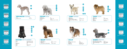# BOUVIER DES FLANDRES BRIARD TERRIER

Matted coat 7F<br>Puppy trim @ 2" 30 Short trim 4F<br>Face, legs and undercarriage Oster® shears Face, legs and undercarriage

 $\frac{1}{4}$ <br> $\frac{1}{4}$   $\frac{1}{4}$   $\frac{1}{4}$   $\frac{1}{4}$   $\frac{1}{4}$   $\frac{1}{4}$   $\frac{1}{4}$   $\frac{1}{4}$   $\frac{1}{4}$   $\frac{1}{4}$   $\frac{1}{4}$   $\frac{1}{4}$   $\frac{1}{4}$   $\frac{1}{4}$   $\frac{1}{4}$   $\frac{1}{4}$   $\frac{1}{4}$   $\frac{1}{4}$   $\frac{1}{4}$   $\frac{1}{4}$   $\frac{1}{4}$ 

**7** 4F



BEDLINGTON TERRIER BICHON FRISE Body 4 or 3 Head, ears, tail 10 or 15

Body 3, 30, 3/4 or 1" UC\*<br>Legs Cster® shears, #30

Face Coster® shears<br>Ears 10 or 15

Matted coat 7F<br>Head 4F

 $\mathbf{w}$ 

Head<br>Face

7F



Matted coat <br>
Show trim @ 1" 30 & 1" UC\* Show trim @ 1" 30 & 1<br>Pet trim 4 & 3 Pet trim<br>Head

 $30$  with 3/4", 1 or 1 1/4" UC\*











10 15

Matted coat 7F Body<br>Puppy trim

Oster<sup>®</sup> shears Puppy trim 30 under 1" UC\*<br>
Short trim 3, 3F, 4, 4F  $3, 3F, 4, 4F$ 

For more length on body 4 or 3

Sor the length on body<br>
Short trim discussion of the state of the Short trim discussion of the Short trim discussion of the Short Tel<br>
So under 1" Puppy trim 30 under 1" UC\* Oster<sup>®</sup> shears

3 30

Oster<sup>®</sup> shears, #30 with 1 or 1  $1/4$ " UC\*<br>7F

10 or 15

30

4F

30

# CHOW CHOW



# COLLIE **DANDIE DINMONT**

Body, sides and back only 5 or 4 Head and tail, legs, underbelly Oster® shears Body, sides and back only<br>
Head and tail, legs, underbelly<br>
Legs & undercarriage<br>
Ears
10 or 15

10 or 15











Body 7F





# CAIRN TERRIER

Pet trim, shorter on back 4<br>
Head, face, legs, underbody Oster® shears Head, face, legs, underbody Ost<br>Ears shears to shear shears

Matted coat 7F<br>Natural look 2" 30 & 3/4" UC\*



Natural look 2" Ears

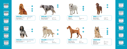

# ENGLISH COCKER SPANIEL | | | | | | ENGLISH SETTER

Body, sides and back only 7F, 5F or 4F<br>Front of forearms 7F Front of forearms 7F<br>Heads, neck and ears 15 Heads, neck and ears



Body, sides and back only **7F**, 5F or 4F Head, neck and ears 10 Tail, legs, underbody **Canada Caracter®** shears





Matted coat 7F Long body trim

| <b>GOLDEN RETRIEVER</b> |                           |  |
|-------------------------|---------------------------|--|
| Matted coat             | 7F                        |  |
| Body                    | 7F or 5F                  |  |
| Legs, tail, underbody   | Oster <sup>®</sup> shears |  |



Body, sides, back 7F, 5F, 5<br>Head, neck and ears 10 Tail, legs, underbody

30 under  $1"$  UC $*$ <br>4 or 3



Head, neck and ears 10<br>Tail, legs, underbody Cister® shears



# GREAT PYRENEES **IRISH SETTER**

Body, sides, back 7F, 5F or 4F<br>Head, neck, ears 7, 10 Head, neck, ears and the control of the Head, neck, ears and the control of the T<br>
Tail, legs, underbody Cster® shears Tail, legs, underbody







# IRISH TERRIER NEESHOND

Matted coat 7F<br>Natural coat 61 Short trim, back, sides 4<br>
Head, neck, ears 10 or 9 Head, neck, ears 10 or 9<br>Body, sides, tail 30 & 1" UC\* Body, sides, tail

Oster<sup>®</sup> shears







 $\circ$   $\circ$ 





3/8" (9.5mm)













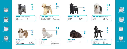

# LHASA APSO MALTESE

Matted coat<br>Puppy trim Short trim 3F or 4F Head, face, tail, underbody

7F<br>30 & 1" UC\*<br>3F or 4F



Matted coat<br>
Puppy trim 30 Short trim<br>Head

 $30 8 1"$  UC\* Head  $4F$ , 3F, 30 & 3/4" or 1" UC\*<br>Face and tail  $4F$ , 3F, 30 & 3/4" or 1" UC\* Oster® shears



Matted coat 7F<br>Short coat 4, 4F Short coat

Oster<sup>®</sup> shears  $4 \text{ or } 3$ 



# Body, tail 4F, 3F<br>
Face 10<br>
Ears, cheeks, throat 10

Face Ears, cheeks, throat Legs 30 & 3/4" or 1" UC\*

4 4F **ZE** 

Matted coat 7F Short coat



Puppy Trim 30 & 1 1/4" UC\* Head, face **Discussion Contract Contract Contract Contract Contract Contract Contract Contract Contract Contract Contract Contract Contract Contract Contract Contract Contract Contract Contract Contract Contract Contract C** 

Matted coat 7F<br>Face, feet and base of tail 10 or 15 Face, feet and base of tail 10 or 15<br>
Body and legs 6.4, 3<br>
Top knot and tail piece 6.4, 3<br>
Top knot and tail piece 6.6 Oster® shears Body and legs 5, 4, 3 Top knot and tail piece Oster® shears



# KERRY BLUE TERRIER **EXECUTE: LAKELAND TERRIER**

Body and tail 7F, 5F, 4F, 3F<br>Head, neck and ears with lay of coat 10 Head, neck and ears with lay of coat 10<br>
Legs, chest, beard, eye brows 30 with 3/4" or 1" UC\* Legs, chest, beard, eye brows





# PEKINGESE **POODLE** (KENNEL TRIM)













# NEWFOUNDLAND **OLD ENGLISH SHEEPDOG**

Matted coat<br>Short coat Short coat 3, 3F, 4, 4F





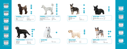# POODLE (LAMB TRIM) POODLE (SUMMER TRIM - BIKINI)

Face, feet and base of tail 10 or 15 Body and legs **7F** or 5F Pompons, top knot and tail porn Oster® shears Stomach 10



Face, feet and base of tail 10 or 15 Body 5, 4 or 3 Face, feet and base of tail  $\begin{array}{ccc} 10 & 0 & 15 \\ \text{Body} & 5, 4 & 0 & 3 \\ \text{Legs} & 30 & \text{with } 3/4" \text{ or } 1" \text{ UC*} \\ \text{Top knot and tail piece} & \text{Oster}^{\circ} \text{ shears} \end{array}$ Top knot and tail piece





Matted coat 7F

Oster<sup>®</sup> shears

- 2<br>7, 5, 4F<br>3 with 3/4" UC\*







Head, neck and ears<br>Tail



| Body, back, sides<br>$5$ or $4$<br>Head, neck, cheeks, throat, ears<br>10<br>Tail<br>ΔF |  |
|-----------------------------------------------------------------------------------------|--|
|-----------------------------------------------------------------------------------------|--|



Matted coat 7F<br>
Long trim 4, 3 Long trim  $\begin{array}{cc} 4, 3 \\ \text{Natural coat, tail} \end{array}$ Natural coat, tail



# SCHNAUZER **SCOTTISH TERRIER**















1/50" (0.5mm)

Body, back and sides only 5 or 4<br>Head, neck and ears 10

5 or 4





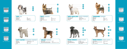# SOFT COATED WHEATEN TERRIER

Shorter trim<br>Legs



Matted coat Puppy trim 30 & 1" UC\*<br>Short trim 4F or 3F<br>Head, tail, ears Steer® shears Head, tail, ears

7F<br>30 & 1" UC\*<br>4F or 3F



# SHIH TZU SILKY TERRIER

Matted coat 7F Puppy trim 30 & 3/4" UC"<br>Short trim 4F<br>Head, underbody, tail 50 Ster® shears Head, underbody, tail **Shears** Shears<br>Ears shears in the shears in the shears in the shears in the shears in the shears in the shears in the shears i<br>The shears in the shears in the shears in the shears in the shears in th Ears<sup>1</sup>

 $30 & 3/4"$  UC\*

Body, tail 3, 30 & 3/4" or 1" UC\* Oster<sup>®</sup> shears<br>4F  $30 8 1" U C^*$ 



10 4F 3F 3F 30 4

Face (poodle style) 10, Oster<sup>®</sup> shears Face (teddy bear style)  $3F$  or 30 with 3/4" or 1"  $UC^*$ 

# WELSH TERRIER

Body and tail 7F, 5F<br>Head, cheeks, throat and ears 10 Head, cheeks, throat and ears  $10$ <br>Legs, chest, beard, eye brows  $30$  with  $3/4$ " or  $1$ " UC\* Legs, chest, beard, eye brows





Body & legs<br>
Face (poodle style) 4F or 3F<br>
10, Oster Tail Oster® shears

# WEST HIGHLAND WHITE TERRIER | YORKSHIRE TERRIER

Body, back, sides<br>
Tail, underbody<br>
Head, legs
(1998)<br>
Tail, underbody
(1998)<br>
So & 1" or 1 1/ Head, legs 30 & 1" or 1 1/4" UC\*<br>
Ear tips 30 & 1" or 1 1/4" UC\*  $\frac{66}{10}$  or  $15$ 





Matted coat<br>Puppy trim Puppy trim 30 & 1" UC\* Short trim Face **Calculation** Coster® shears Ear tips



Body, back, sides<br>Tail, underbody





# MIXED BREEDS (CURLY COAT) MIXED BREEDS (WIRY COAT)

Body and tail 7F, 5F, 4F, 3F<br>Leas chest beard eve brows 3F Legs, chest, beard, eye brows 3F<br>Fars 10 Ears 10<br>
Face, evebrows the contract of the Dister® shears Face, eyebrows













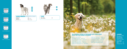

 $Oster^{\circledast}$  shears

| <b>CATS</b>  |    |
|--------------|----|
| Very matted  | 10 |
| Some matting |    |





Matted coat 7F Puppy trim 30 & 1" UC\* Short trim 4F





Sanitary prep 10 Pads 15 Universal Comb \*UC





# LEGEND

When given multiple blade options, select the blade according to the desired coat length.

Golden A5® Two Speed – 78005-140 Turbo A5® Single Speed – 78005-301 Turbo A5® Two Speed – 78005-314 All Laube®, Andis®, Conair®, and Wahl<sup>®</sup> detachable blade clippers

## **All Styles:**

OutlawTM – 078706-100 Powerpro<sup>™</sup> Ultra Pink – 78400-025 Powerpro™ Ultra Cordless - 78400-020 Powermax<sup>™</sup> Two Speed - 78004-011 Golden A5® Single Speed – 78005-010 Golden A5® Single Speed Vet – 78005-050

# **All blades listed in this guide are compatible with the following Clippers:**